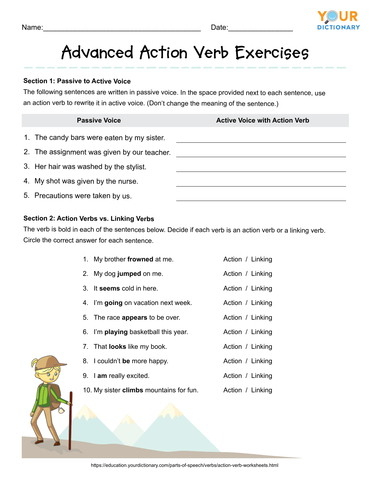

# **Advanced Action Verb Exercises**

#### **Section 1: Passive to Active Voice**

The following sentences are written in passive voice. In the space provided next to each sentence, use an action verb to rewrite it in active voice. (Don't change the meaning of the sentence.)

## 1. The candy bars were eaten by my sister. 2. The assignment was given by our teacher. 3. Her hair was washed by the stylist. 4. My shot was given by the nurse. 5. Precautions were taken by us. **Passive Voice Active Voice with Action Verb Active Voice with Action Verb**

#### **Section 2: Action Verbs vs. Linking Verbs**

The verb is bold in each of the sentences below. Decide if each verb is an action verb or a linking verb. Circle the correct answer for each sentence.

| 1. My brother frowned at me. | Action / Linking |
|------------------------------|------------------|
|------------------------------|------------------|

Action / Linking

Action / Linking

- 2. My dog **jumped** on me.
- 3. It **seems** cold in here. Action / Linking
- 4. I'm **going** on vacation next week. Action / Linking
- 5. The race **appears** to be over.
- 6. I'm **playing** basketball this year. Action / Linking
- 7. That **looks** like my book. Action / Linking
- 8. I couldn't **be** more happy. Action / Linking
- 9. I **am** really excited. Action / Linking
	- 10. My sister **climbs** mountains for fun. Action / Linking